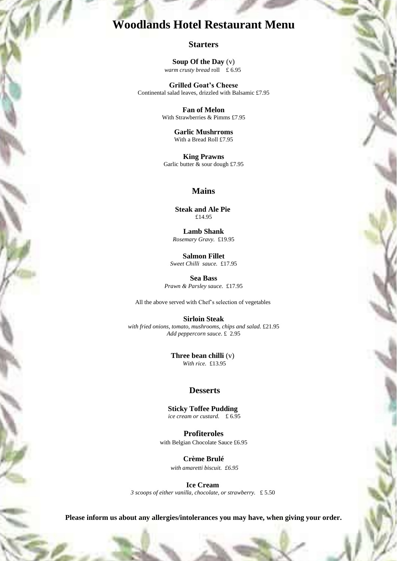## **Woodlands Hotel Restaurant Menu**

#### **Starters**

**Soup Of the Day** (v) *warm crusty bread* roll £ 6.95

**Grilled Goat's Cheese** Continental salad leaves, drizzled with Balsamic £7.95

> **Fan of Melon** With Strawberries & Pimms £7.95

> > **Garlic Mushrroms** With a Bread Roll £7.95

**King Prawns** Garlic butter  $\&$  sour dough £7.95

#### **Mains**

**Steak and Ale Pie** £14.95

**Lamb Shank** *Rosemary Gravy.* £19.95

**Salmon Fillet** *Sweet Chilli sauce.* £17.95

**Sea Bass** *Prawn & Parsley sauce.* £17.95

All the above served with Chef's selection of vegetables

**Sirloin Steak** *with fried onions, tomato, mushrooms, chips and salad.* £21.95 *Add peppercorn sauce*. £ 2.95

> **Three bean chilli** (v) *With rice.* £13.95

### **Desserts**

**Sticky Toffee Pudding** *ice cream or custard.* £ 6.95

**Profiteroles** with Belgian Chocolate Sauce £6.95

> **Crème Brulé** *with amaretti biscuit. £6.95*

**Ice Cream** *3 scoops of either vanilla, chocolate, or strawberry.* £ 5.50

**Please inform us about any allergies/intolerances you may have, when giving your order.**